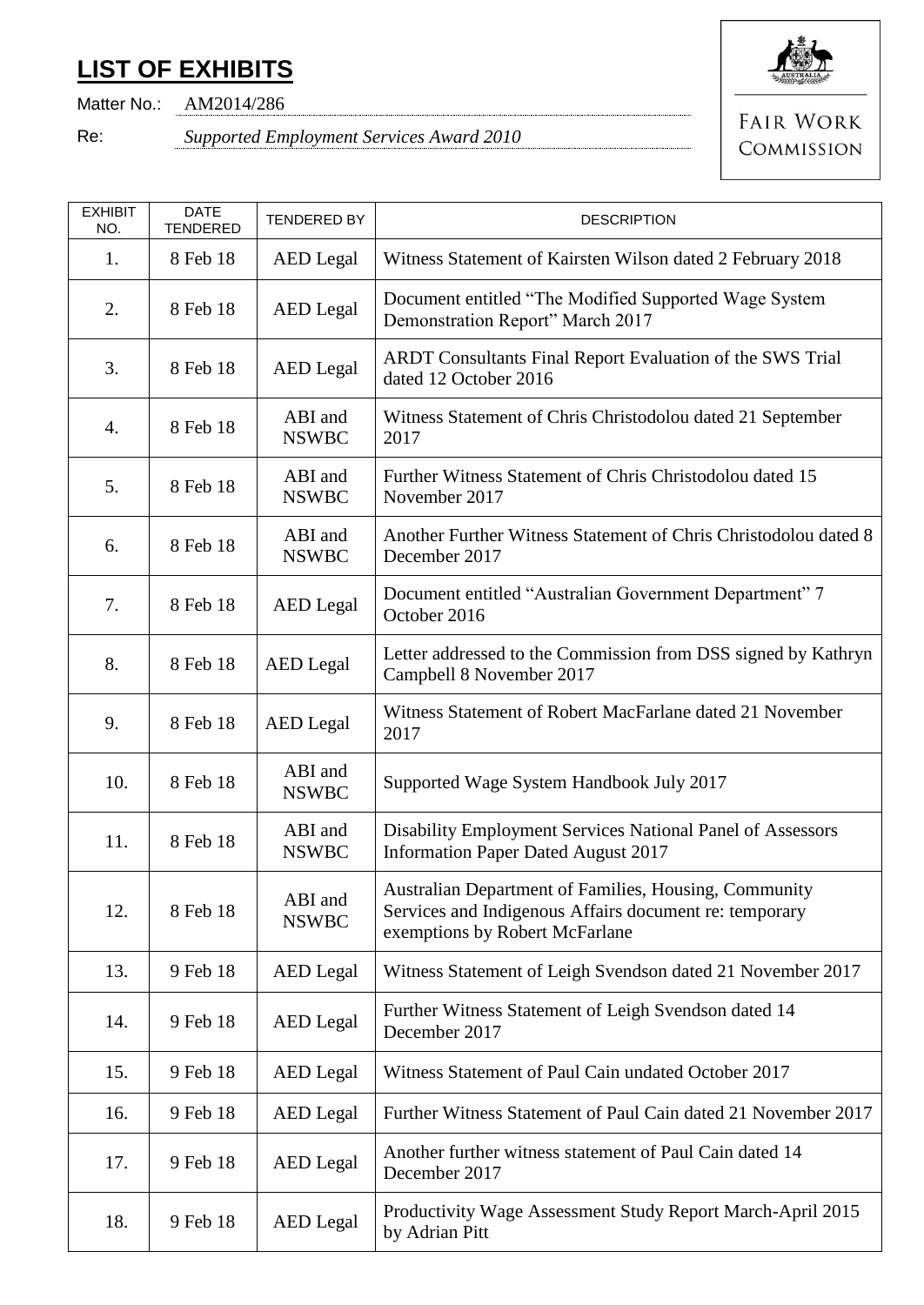## **LIST OF EXHIBITS**



Matter No.: AM2014/286

Re: *Supported Employment Services Award 2010*

**FAIR WORK** COMMISSION

| <b>EXHIBIT</b><br>NO. | <b>DATE</b><br><b>TENDERED</b> | <b>TENDERED BY</b>      | <b>DESCRIPTION</b>                                                                                                                                |
|-----------------------|--------------------------------|-------------------------|---------------------------------------------------------------------------------------------------------------------------------------------------|
| 1.                    | 8 Feb 18                       | <b>AED</b> Legal        | Witness Statement of Kairsten Wilson dated 2 February 2018                                                                                        |
| 2.                    | 8 Feb 18                       | <b>AED</b> Legal        | Document entitled "The Modified Supported Wage System<br>Demonstration Report" March 2017                                                         |
| 3.                    | 8 Feb 18                       | <b>AED</b> Legal        | ARDT Consultants Final Report Evaluation of the SWS Trial<br>dated 12 October 2016                                                                |
| 4.                    | 8 Feb 18                       | ABI and<br><b>NSWBC</b> | Witness Statement of Chris Christodolou dated 21 September<br>2017                                                                                |
| 5.                    | 8 Feb 18                       | ABI and<br><b>NSWBC</b> | Further Witness Statement of Chris Christodolou dated 15<br>November 2017                                                                         |
| 6.                    | 8 Feb 18                       | ABI and<br><b>NSWBC</b> | Another Further Witness Statement of Chris Christodolou dated 8<br>December 2017                                                                  |
| 7.                    | 8 Feb 18                       | <b>AED</b> Legal        | Document entitled "Australian Government Department" 7<br>October 2016                                                                            |
| 8.                    | 8 Feb 18                       | <b>AED</b> Legal        | Letter addressed to the Commission from DSS signed by Kathryn<br>Campbell 8 November 2017                                                         |
| 9.                    | 8 Feb 18                       | <b>AED</b> Legal        | Witness Statement of Robert MacFarlane dated 21 November<br>2017                                                                                  |
| 10.                   | 8 Feb 18                       | ABI and<br><b>NSWBC</b> | Supported Wage System Handbook July 2017                                                                                                          |
| 11.                   | 8 Feb 18                       | ABI and<br><b>NSWBC</b> | Disability Employment Services National Panel of Assessors<br><b>Information Paper Dated August 2017</b>                                          |
| 12.                   | 8 Feb 18                       | ABI and<br><b>NSWBC</b> | Australian Department of Families, Housing, Community<br>Services and Indigenous Affairs document re: temporary<br>exemptions by Robert McFarlane |
| 13.                   | 9 Feb 18                       | <b>AED</b> Legal        | Witness Statement of Leigh Svendson dated 21 November 2017                                                                                        |
| 14.                   | 9 Feb 18                       | <b>AED</b> Legal        | Further Witness Statement of Leigh Svendson dated 14<br>December 2017                                                                             |
| 15.                   | 9 Feb 18                       | <b>AED</b> Legal        | Witness Statement of Paul Cain undated October 2017                                                                                               |
| 16.                   | 9 Feb 18                       | <b>AED</b> Legal        | Further Witness Statement of Paul Cain dated 21 November 2017                                                                                     |
| 17.                   | 9 Feb 18                       | <b>AED</b> Legal        | Another further witness statement of Paul Cain dated 14<br>December 2017                                                                          |
| 18.                   | 9 Feb 18                       | <b>AED</b> Legal        | Productivity Wage Assessment Study Report March-April 2015<br>by Adrian Pitt                                                                      |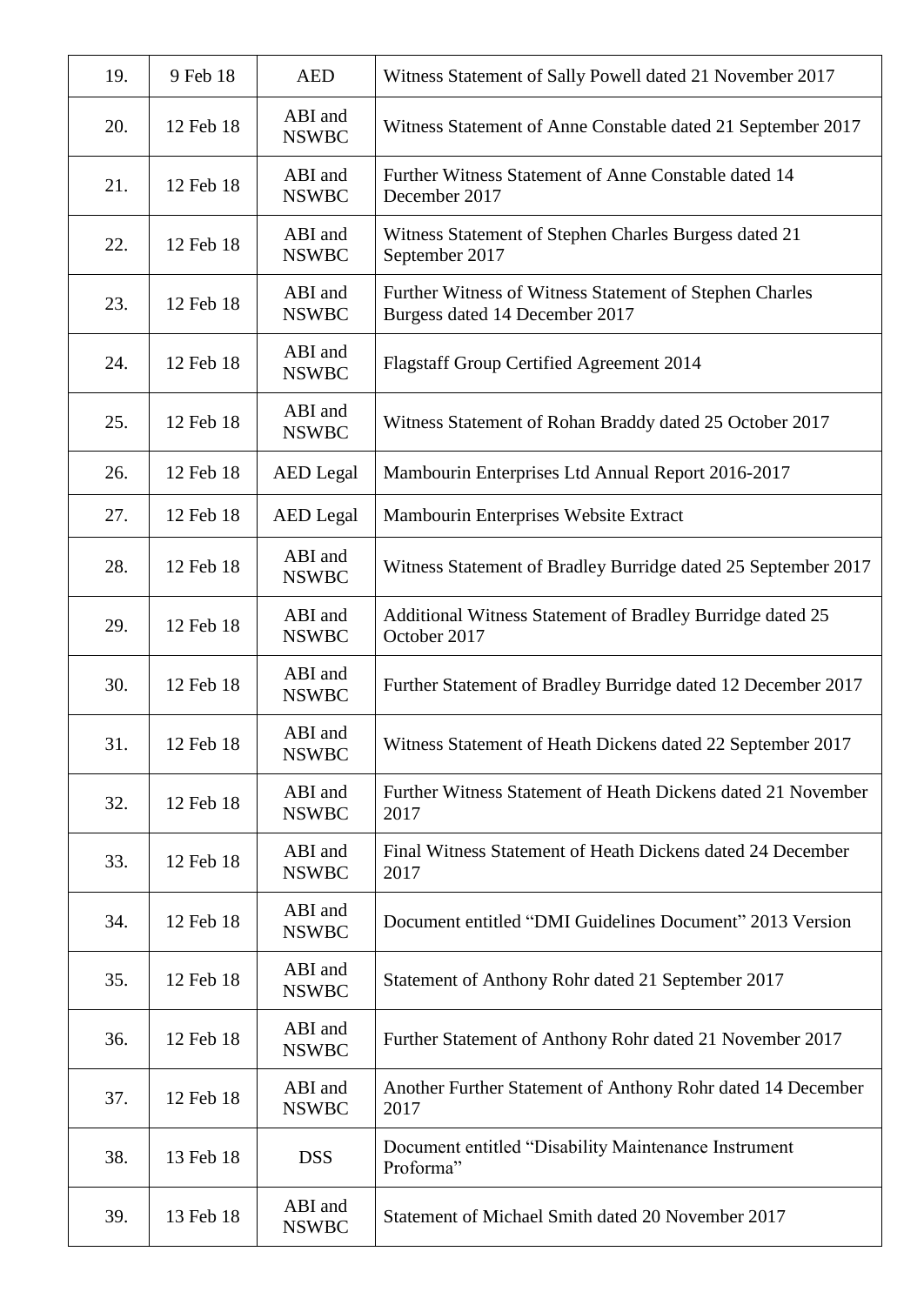| 19. | 9 Feb 18  | <b>AED</b>              | Witness Statement of Sally Powell dated 21 November 2017                                  |
|-----|-----------|-------------------------|-------------------------------------------------------------------------------------------|
| 20. | 12 Feb 18 | ABI and<br><b>NSWBC</b> | Witness Statement of Anne Constable dated 21 September 2017                               |
| 21. | 12 Feb 18 | ABI and<br><b>NSWBC</b> | Further Witness Statement of Anne Constable dated 14<br>December 2017                     |
| 22. | 12 Feb 18 | ABI and<br><b>NSWBC</b> | Witness Statement of Stephen Charles Burgess dated 21<br>September 2017                   |
| 23. | 12 Feb 18 | ABI and<br><b>NSWBC</b> | Further Witness of Witness Statement of Stephen Charles<br>Burgess dated 14 December 2017 |
| 24. | 12 Feb 18 | ABI and<br><b>NSWBC</b> | <b>Flagstaff Group Certified Agreement 2014</b>                                           |
| 25. | 12 Feb 18 | ABI and<br><b>NSWBC</b> | Witness Statement of Rohan Braddy dated 25 October 2017                                   |
| 26. | 12 Feb 18 | <b>AED</b> Legal        | Mambourin Enterprises Ltd Annual Report 2016-2017                                         |
| 27. | 12 Feb 18 | <b>AED</b> Legal        | Mambourin Enterprises Website Extract                                                     |
| 28. | 12 Feb 18 | ABI and<br><b>NSWBC</b> | Witness Statement of Bradley Burridge dated 25 September 2017                             |
| 29. | 12 Feb 18 | ABI and<br><b>NSWBC</b> | Additional Witness Statement of Bradley Burridge dated 25<br>October 2017                 |
| 30. | 12 Feb 18 | ABI and<br><b>NSWBC</b> | Further Statement of Bradley Burridge dated 12 December 2017                              |
| 31. | 12 Feb 18 | ABI and<br><b>NSWBC</b> | Witness Statement of Heath Dickens dated 22 September 2017                                |
| 32. | 12 Feb 18 | ABI and<br><b>NSWBC</b> | Further Witness Statement of Heath Dickens dated 21 November<br>2017                      |
| 33. | 12 Feb 18 | ABI and<br><b>NSWBC</b> | Final Witness Statement of Heath Dickens dated 24 December<br>2017                        |
| 34. | 12 Feb 18 | ABI and<br><b>NSWBC</b> | Document entitled "DMI Guidelines Document" 2013 Version                                  |
| 35. | 12 Feb 18 | ABI and<br><b>NSWBC</b> | Statement of Anthony Rohr dated 21 September 2017                                         |
| 36. | 12 Feb 18 | ABI and<br><b>NSWBC</b> | Further Statement of Anthony Rohr dated 21 November 2017                                  |
| 37. | 12 Feb 18 | ABI and<br><b>NSWBC</b> | Another Further Statement of Anthony Rohr dated 14 December<br>2017                       |
| 38. | 13 Feb 18 | <b>DSS</b>              | Document entitled "Disability Maintenance Instrument<br>Proforma"                         |
| 39. | 13 Feb 18 | ABI and<br><b>NSWBC</b> | Statement of Michael Smith dated 20 November 2017                                         |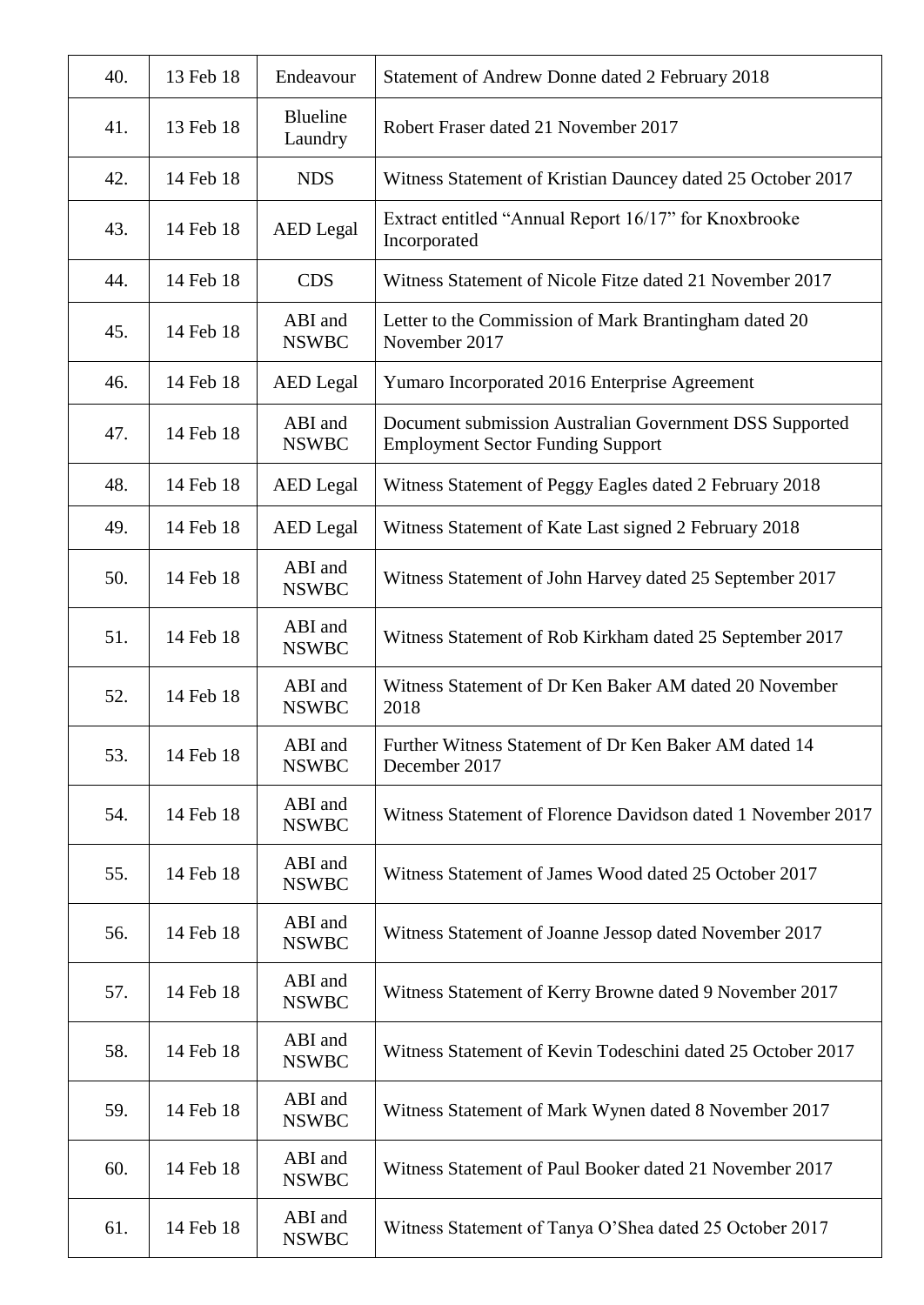| 40. | 13 Feb 18 | Endeavour               | Statement of Andrew Donne dated 2 February 2018                                                     |
|-----|-----------|-------------------------|-----------------------------------------------------------------------------------------------------|
| 41. | 13 Feb 18 | Blueline<br>Laundry     | Robert Fraser dated 21 November 2017                                                                |
| 42. | 14 Feb 18 | <b>NDS</b>              | Witness Statement of Kristian Dauncey dated 25 October 2017                                         |
| 43. | 14 Feb 18 | <b>AED</b> Legal        | Extract entitled "Annual Report 16/17" for Knoxbrooke<br>Incorporated                               |
| 44. | 14 Feb 18 | <b>CDS</b>              | Witness Statement of Nicole Fitze dated 21 November 2017                                            |
| 45. | 14 Feb 18 | ABI and<br><b>NSWBC</b> | Letter to the Commission of Mark Brantingham dated 20<br>November 2017                              |
| 46. | 14 Feb 18 | <b>AED</b> Legal        | Yumaro Incorporated 2016 Enterprise Agreement                                                       |
| 47. | 14 Feb 18 | ABI and<br><b>NSWBC</b> | Document submission Australian Government DSS Supported<br><b>Employment Sector Funding Support</b> |
| 48. | 14 Feb 18 | <b>AED</b> Legal        | Witness Statement of Peggy Eagles dated 2 February 2018                                             |
| 49. | 14 Feb 18 | <b>AED</b> Legal        | Witness Statement of Kate Last signed 2 February 2018                                               |
| 50. | 14 Feb 18 | ABI and<br><b>NSWBC</b> | Witness Statement of John Harvey dated 25 September 2017                                            |
| 51. | 14 Feb 18 | ABI and<br><b>NSWBC</b> | Witness Statement of Rob Kirkham dated 25 September 2017                                            |
| 52. | 14 Feb 18 | ABI and<br><b>NSWBC</b> | Witness Statement of Dr Ken Baker AM dated 20 November<br>2018                                      |
| 53. | 14 Feb 18 | ABI and<br><b>NSWBC</b> | Further Witness Statement of Dr Ken Baker AM dated 14<br>December 2017                              |
| 54. | 14 Feb 18 | ABI and<br><b>NSWBC</b> | Witness Statement of Florence Davidson dated 1 November 2017                                        |
| 55. | 14 Feb 18 | ABI and<br><b>NSWBC</b> | Witness Statement of James Wood dated 25 October 2017                                               |
| 56. | 14 Feb 18 | ABI and<br><b>NSWBC</b> | Witness Statement of Joanne Jessop dated November 2017                                              |
| 57. | 14 Feb 18 | ABI and<br><b>NSWBC</b> | Witness Statement of Kerry Browne dated 9 November 2017                                             |
| 58. | 14 Feb 18 | ABI and<br><b>NSWBC</b> | Witness Statement of Kevin Todeschini dated 25 October 2017                                         |
| 59. | 14 Feb 18 | ABI and<br><b>NSWBC</b> | Witness Statement of Mark Wynen dated 8 November 2017                                               |
| 60. | 14 Feb 18 | ABI and<br><b>NSWBC</b> | Witness Statement of Paul Booker dated 21 November 2017                                             |
| 61. | 14 Feb 18 | ABI and<br><b>NSWBC</b> | Witness Statement of Tanya O'Shea dated 25 October 2017                                             |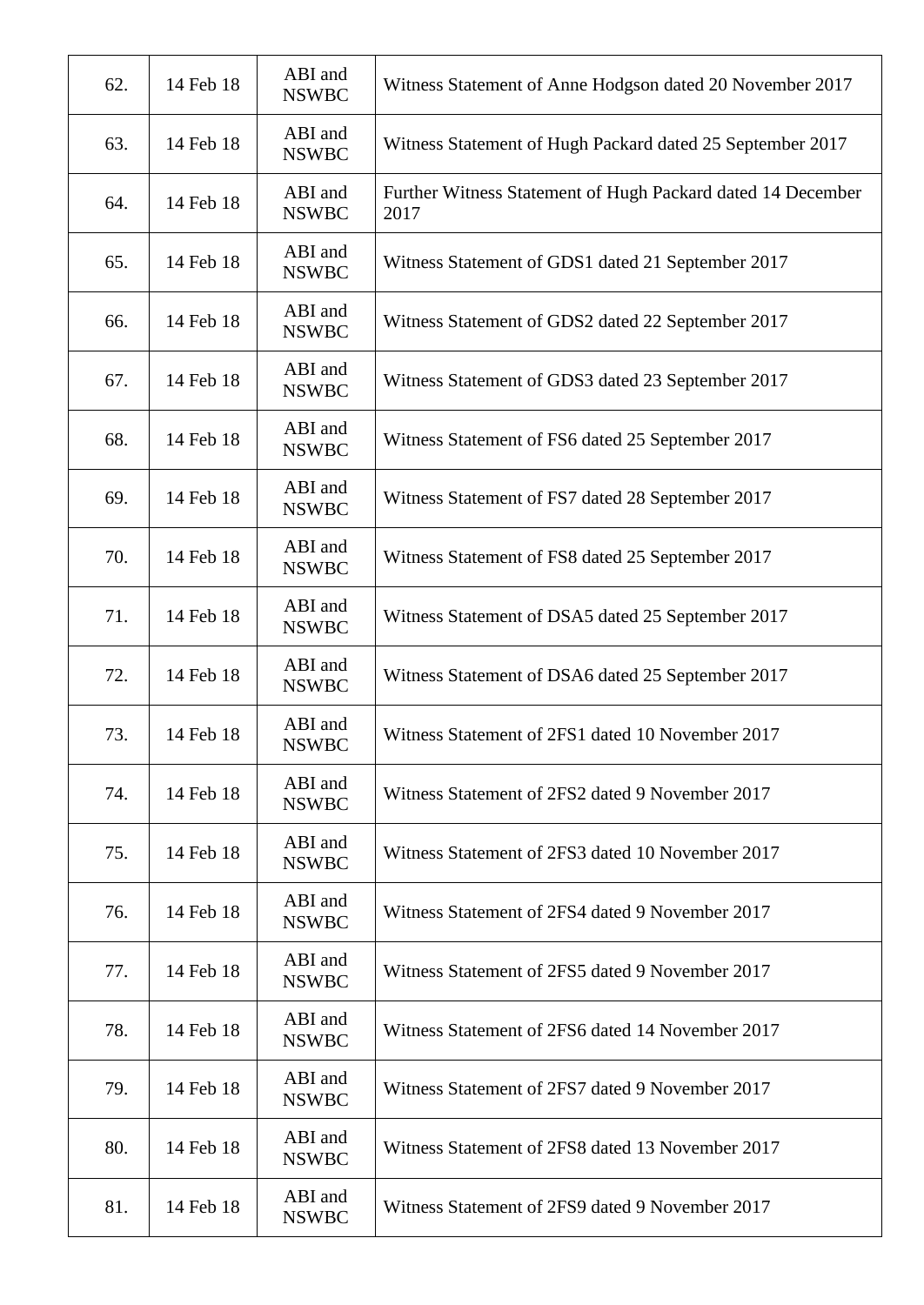| 62. | 14 Feb 18 | ABI and<br><b>NSWBC</b> | Witness Statement of Anne Hodgson dated 20 November 2017            |
|-----|-----------|-------------------------|---------------------------------------------------------------------|
| 63. | 14 Feb 18 | ABI and<br><b>NSWBC</b> | Witness Statement of Hugh Packard dated 25 September 2017           |
| 64. | 14 Feb 18 | ABI and<br><b>NSWBC</b> | Further Witness Statement of Hugh Packard dated 14 December<br>2017 |
| 65. | 14 Feb 18 | ABI and<br><b>NSWBC</b> | Witness Statement of GDS1 dated 21 September 2017                   |
| 66. | 14 Feb 18 | ABI and<br><b>NSWBC</b> | Witness Statement of GDS2 dated 22 September 2017                   |
| 67. | 14 Feb 18 | ABI and<br><b>NSWBC</b> | Witness Statement of GDS3 dated 23 September 2017                   |
| 68. | 14 Feb 18 | ABI and<br><b>NSWBC</b> | Witness Statement of FS6 dated 25 September 2017                    |
| 69. | 14 Feb 18 | ABI and<br><b>NSWBC</b> | Witness Statement of FS7 dated 28 September 2017                    |
| 70. | 14 Feb 18 | ABI and<br><b>NSWBC</b> | Witness Statement of FS8 dated 25 September 2017                    |
| 71. | 14 Feb 18 | ABI and<br><b>NSWBC</b> | Witness Statement of DSA5 dated 25 September 2017                   |
| 72. | 14 Feb 18 | ABI and<br><b>NSWBC</b> | Witness Statement of DSA6 dated 25 September 2017                   |
| 73. | 14 Feb 18 | ABI and<br><b>NSWBC</b> | Witness Statement of 2FS1 dated 10 November 2017                    |
| 74. | 14 Feb 18 | ABI and<br><b>NSWBC</b> | Witness Statement of 2FS2 dated 9 November 2017                     |
| 75. | 14 Feb 18 | ABI and<br><b>NSWBC</b> | Witness Statement of 2FS3 dated 10 November 2017                    |
| 76. | 14 Feb 18 | ABI and<br><b>NSWBC</b> | Witness Statement of 2FS4 dated 9 November 2017                     |
| 77. | 14 Feb 18 | ABI and<br><b>NSWBC</b> | Witness Statement of 2FS5 dated 9 November 2017                     |
| 78. | 14 Feb 18 | ABI and<br><b>NSWBC</b> | Witness Statement of 2FS6 dated 14 November 2017                    |
| 79. | 14 Feb 18 | ABI and<br><b>NSWBC</b> | Witness Statement of 2FS7 dated 9 November 2017                     |
| 80. | 14 Feb 18 | ABI and<br><b>NSWBC</b> | Witness Statement of 2FS8 dated 13 November 2017                    |
| 81. | 14 Feb 18 | ABI and<br><b>NSWBC</b> | Witness Statement of 2FS9 dated 9 November 2017                     |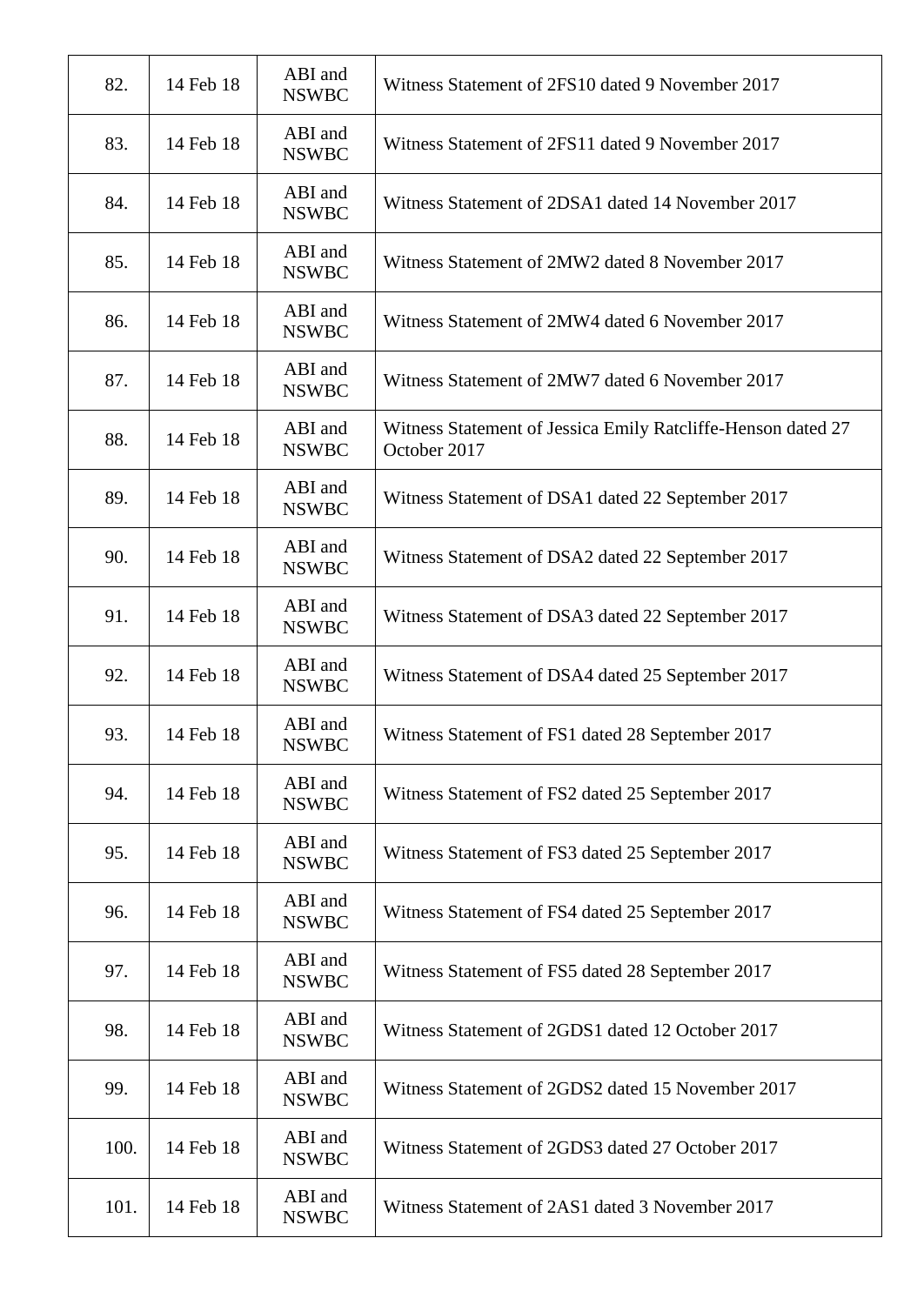| 82.  | 14 Feb 18 | ABI and<br><b>NSWBC</b> | Witness Statement of 2FS10 dated 9 November 2017                             |
|------|-----------|-------------------------|------------------------------------------------------------------------------|
| 83.  | 14 Feb 18 | ABI and<br><b>NSWBC</b> | Witness Statement of 2FS11 dated 9 November 2017                             |
| 84.  | 14 Feb 18 | ABI and<br><b>NSWBC</b> | Witness Statement of 2DSA1 dated 14 November 2017                            |
| 85.  | 14 Feb 18 | ABI and<br><b>NSWBC</b> | Witness Statement of 2MW2 dated 8 November 2017                              |
| 86.  | 14 Feb 18 | ABI and<br><b>NSWBC</b> | Witness Statement of 2MW4 dated 6 November 2017                              |
| 87.  | 14 Feb 18 | ABI and<br><b>NSWBC</b> | Witness Statement of 2MW7 dated 6 November 2017                              |
| 88.  | 14 Feb 18 | ABI and<br><b>NSWBC</b> | Witness Statement of Jessica Emily Ratcliffe-Henson dated 27<br>October 2017 |
| 89.  | 14 Feb 18 | ABI and<br><b>NSWBC</b> | Witness Statement of DSA1 dated 22 September 2017                            |
| 90.  | 14 Feb 18 | ABI and<br><b>NSWBC</b> | Witness Statement of DSA2 dated 22 September 2017                            |
| 91.  | 14 Feb 18 | ABI and<br><b>NSWBC</b> | Witness Statement of DSA3 dated 22 September 2017                            |
| 92.  | 14 Feb 18 | ABI and<br><b>NSWBC</b> | Witness Statement of DSA4 dated 25 September 2017                            |
| 93.  | 14 Feb 18 | ABI and<br><b>NSWBC</b> | Witness Statement of FS1 dated 28 September 2017                             |
| 94.  | 14 Feb 18 | ABI and<br><b>NSWBC</b> | Witness Statement of FS2 dated 25 September 2017                             |
| 95.  | 14 Feb 18 | ABI and<br><b>NSWBC</b> | Witness Statement of FS3 dated 25 September 2017                             |
| 96.  | 14 Feb 18 | ABI and<br><b>NSWBC</b> | Witness Statement of FS4 dated 25 September 2017                             |
| 97.  | 14 Feb 18 | ABI and<br><b>NSWBC</b> | Witness Statement of FS5 dated 28 September 2017                             |
| 98.  | 14 Feb 18 | ABI and<br><b>NSWBC</b> | Witness Statement of 2GDS1 dated 12 October 2017                             |
| 99.  | 14 Feb 18 | ABI and<br><b>NSWBC</b> | Witness Statement of 2GDS2 dated 15 November 2017                            |
| 100. | 14 Feb 18 | ABI and<br><b>NSWBC</b> | Witness Statement of 2GDS3 dated 27 October 2017                             |
| 101. | 14 Feb 18 | ABI and<br><b>NSWBC</b> | Witness Statement of 2AS1 dated 3 November 2017                              |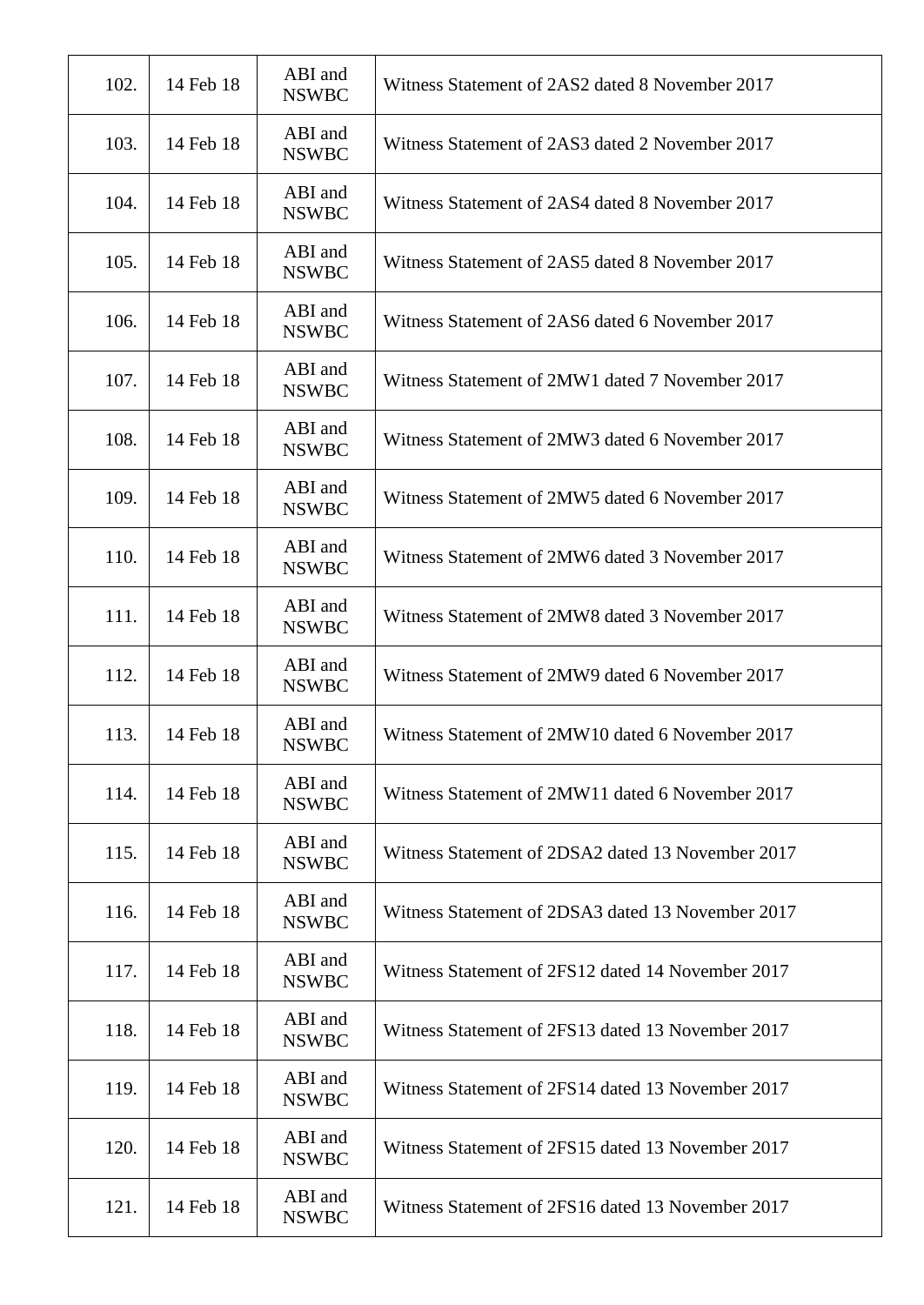| 102. | 14 Feb 18 | ABI and<br><b>NSWBC</b> | Witness Statement of 2AS2 dated 8 November 2017   |
|------|-----------|-------------------------|---------------------------------------------------|
| 103. | 14 Feb 18 | ABI and<br><b>NSWBC</b> | Witness Statement of 2AS3 dated 2 November 2017   |
| 104. | 14 Feb 18 | ABI and<br><b>NSWBC</b> | Witness Statement of 2AS4 dated 8 November 2017   |
| 105. | 14 Feb 18 | ABI and<br><b>NSWBC</b> | Witness Statement of 2AS5 dated 8 November 2017   |
| 106. | 14 Feb 18 | ABI and<br><b>NSWBC</b> | Witness Statement of 2AS6 dated 6 November 2017   |
| 107. | 14 Feb 18 | ABI and<br><b>NSWBC</b> | Witness Statement of 2MW1 dated 7 November 2017   |
| 108. | 14 Feb 18 | ABI and<br><b>NSWBC</b> | Witness Statement of 2MW3 dated 6 November 2017   |
| 109. | 14 Feb 18 | ABI and<br><b>NSWBC</b> | Witness Statement of 2MW5 dated 6 November 2017   |
| 110. | 14 Feb 18 | ABI and<br><b>NSWBC</b> | Witness Statement of 2MW6 dated 3 November 2017   |
| 111. | 14 Feb 18 | ABI and<br><b>NSWBC</b> | Witness Statement of 2MW8 dated 3 November 2017   |
| 112. | 14 Feb 18 | ABI and<br><b>NSWBC</b> | Witness Statement of 2MW9 dated 6 November 2017   |
| 113. | 14 Feb 18 | ABI and<br><b>NSWBC</b> | Witness Statement of 2MW10 dated 6 November 2017  |
| 114. | 14 Feb 18 | ABI and<br><b>NSWBC</b> | Witness Statement of 2MW11 dated 6 November 2017  |
| 115. | 14 Feb 18 | ABI and<br><b>NSWBC</b> | Witness Statement of 2DSA2 dated 13 November 2017 |
| 116. | 14 Feb 18 | ABI and<br><b>NSWBC</b> | Witness Statement of 2DSA3 dated 13 November 2017 |
| 117. | 14 Feb 18 | ABI and<br><b>NSWBC</b> | Witness Statement of 2FS12 dated 14 November 2017 |
| 118. | 14 Feb 18 | ABI and<br><b>NSWBC</b> | Witness Statement of 2FS13 dated 13 November 2017 |
| 119. | 14 Feb 18 | ABI and<br><b>NSWBC</b> | Witness Statement of 2FS14 dated 13 November 2017 |
| 120. | 14 Feb 18 | ABI and<br><b>NSWBC</b> | Witness Statement of 2FS15 dated 13 November 2017 |
| 121. | 14 Feb 18 | ABI and<br><b>NSWBC</b> | Witness Statement of 2FS16 dated 13 November 2017 |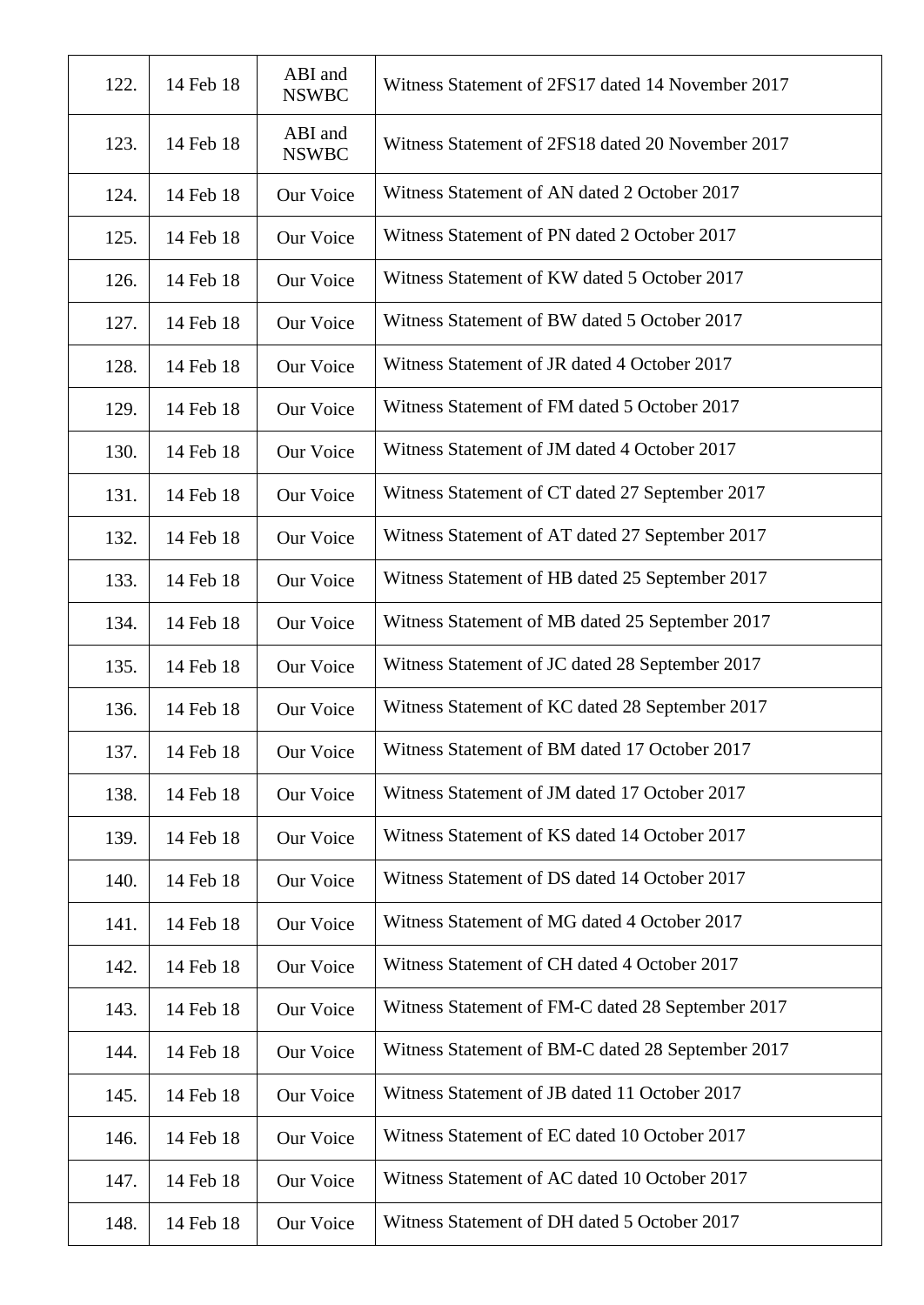| 122. | 14 Feb 18 | ABI and<br><b>NSWBC</b> | Witness Statement of 2FS17 dated 14 November 2017 |
|------|-----------|-------------------------|---------------------------------------------------|
| 123. | 14 Feb 18 | ABI and<br><b>NSWBC</b> | Witness Statement of 2FS18 dated 20 November 2017 |
| 124. | 14 Feb 18 | Our Voice               | Witness Statement of AN dated 2 October 2017      |
| 125. | 14 Feb 18 | Our Voice               | Witness Statement of PN dated 2 October 2017      |
| 126. | 14 Feb 18 | Our Voice               | Witness Statement of KW dated 5 October 2017      |
| 127. | 14 Feb 18 | Our Voice               | Witness Statement of BW dated 5 October 2017      |
| 128. | 14 Feb 18 | Our Voice               | Witness Statement of JR dated 4 October 2017      |
| 129. | 14 Feb 18 | Our Voice               | Witness Statement of FM dated 5 October 2017      |
| 130. | 14 Feb 18 | Our Voice               | Witness Statement of JM dated 4 October 2017      |
| 131. | 14 Feb 18 | Our Voice               | Witness Statement of CT dated 27 September 2017   |
| 132. | 14 Feb 18 | Our Voice               | Witness Statement of AT dated 27 September 2017   |
| 133. | 14 Feb 18 | Our Voice               | Witness Statement of HB dated 25 September 2017   |
| 134. | 14 Feb 18 | Our Voice               | Witness Statement of MB dated 25 September 2017   |
| 135. | 14 Feb 18 | Our Voice               | Witness Statement of JC dated 28 September 2017   |
| 136. | 14 Feb 18 | Our Voice               | Witness Statement of KC dated 28 September 2017   |
| 137. | 14 Feb 18 | Our Voice               | Witness Statement of BM dated 17 October 2017     |
| 138. | 14 Feb 18 | Our Voice               | Witness Statement of JM dated 17 October 2017     |
| 139. | 14 Feb 18 | Our Voice               | Witness Statement of KS dated 14 October 2017     |
| 140. | 14 Feb 18 | Our Voice               | Witness Statement of DS dated 14 October 2017     |
| 141. | 14 Feb 18 | Our Voice               | Witness Statement of MG dated 4 October 2017      |
| 142. | 14 Feb 18 | Our Voice               | Witness Statement of CH dated 4 October 2017      |
| 143. | 14 Feb 18 | Our Voice               | Witness Statement of FM-C dated 28 September 2017 |
| 144. | 14 Feb 18 | Our Voice               | Witness Statement of BM-C dated 28 September 2017 |
| 145. | 14 Feb 18 | Our Voice               | Witness Statement of JB dated 11 October 2017     |
| 146. | 14 Feb 18 | Our Voice               | Witness Statement of EC dated 10 October 2017     |
| 147. | 14 Feb 18 | Our Voice               | Witness Statement of AC dated 10 October 2017     |
| 148. | 14 Feb 18 | Our Voice               | Witness Statement of DH dated 5 October 2017      |
|      |           |                         |                                                   |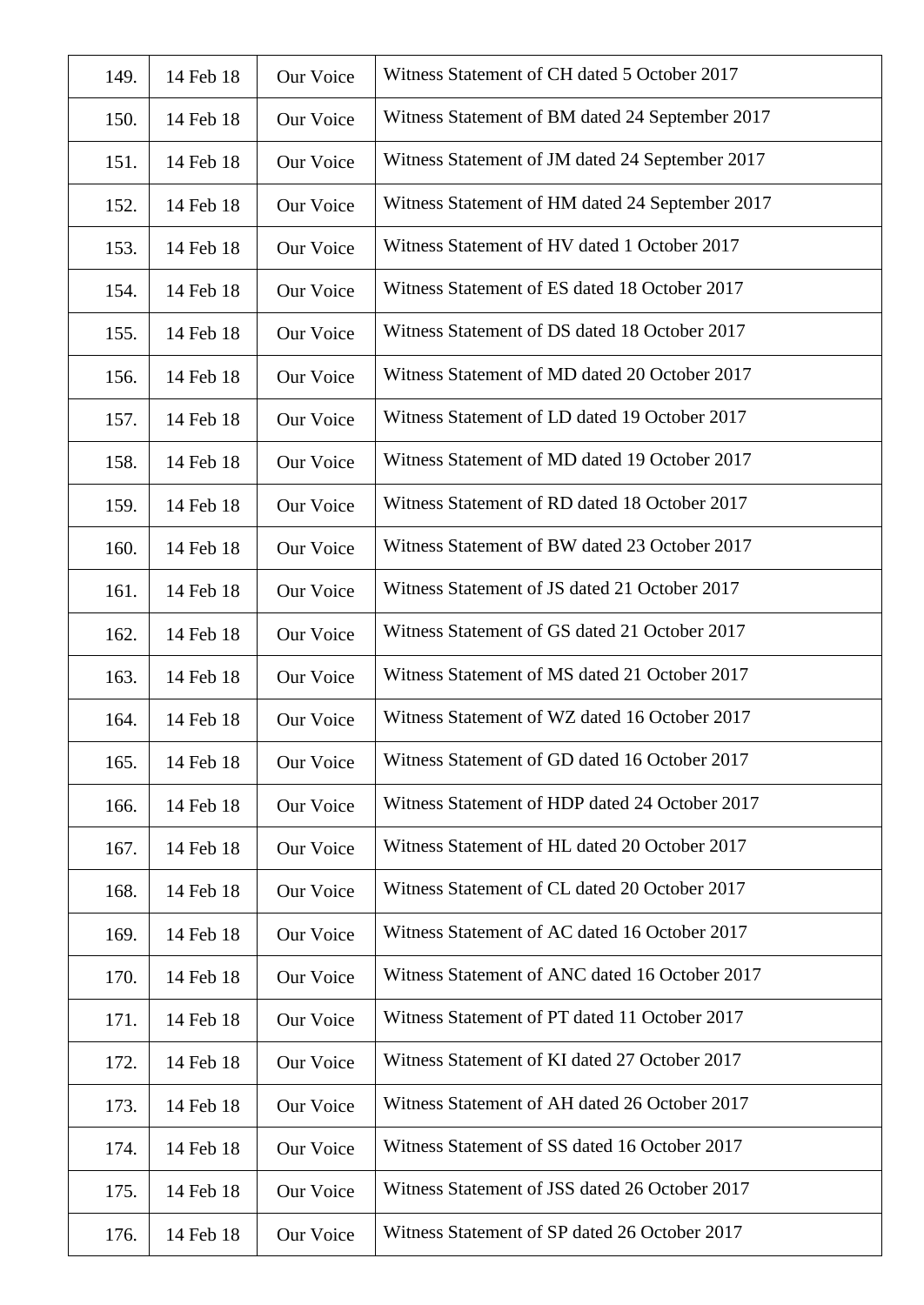| 149. | 14 Feb 18 | Our Voice        | Witness Statement of CH dated 5 October 2017    |
|------|-----------|------------------|-------------------------------------------------|
| 150. | 14 Feb 18 | Our Voice        | Witness Statement of BM dated 24 September 2017 |
| 151. | 14 Feb 18 | Our Voice        | Witness Statement of JM dated 24 September 2017 |
| 152. | 14 Feb 18 | Our Voice        | Witness Statement of HM dated 24 September 2017 |
| 153. | 14 Feb 18 | Our Voice        | Witness Statement of HV dated 1 October 2017    |
| 154. | 14 Feb 18 | Our Voice        | Witness Statement of ES dated 18 October 2017   |
| 155. | 14 Feb 18 | Our Voice        | Witness Statement of DS dated 18 October 2017   |
| 156. | 14 Feb 18 | Our Voice        | Witness Statement of MD dated 20 October 2017   |
| 157. | 14 Feb 18 | Our Voice        | Witness Statement of LD dated 19 October 2017   |
| 158. | 14 Feb 18 | <b>Our Voice</b> | Witness Statement of MD dated 19 October 2017   |
| 159. | 14 Feb 18 | Our Voice        | Witness Statement of RD dated 18 October 2017   |
| 160. | 14 Feb 18 | Our Voice        | Witness Statement of BW dated 23 October 2017   |
| 161. | 14 Feb 18 | Our Voice        | Witness Statement of JS dated 21 October 2017   |
| 162. | 14 Feb 18 | Our Voice        | Witness Statement of GS dated 21 October 2017   |
| 163. | 14 Feb 18 | Our Voice        | Witness Statement of MS dated 21 October 2017   |
| 164. | 14 Feb 18 | Our Voice        | Witness Statement of WZ dated 16 October 2017   |
| 165. | 14 Feb 18 | Our Voice        | Witness Statement of GD dated 16 October 2017   |
| 166. | 14 Feb 18 | Our Voice        | Witness Statement of HDP dated 24 October 2017  |
| 167. | 14 Feb 18 | Our Voice        | Witness Statement of HL dated 20 October 2017   |
| 168. | 14 Feb 18 | Our Voice        | Witness Statement of CL dated 20 October 2017   |
| 169. | 14 Feb 18 | Our Voice        | Witness Statement of AC dated 16 October 2017   |
| 170. | 14 Feb 18 | Our Voice        | Witness Statement of ANC dated 16 October 2017  |
| 171. | 14 Feb 18 | Our Voice        | Witness Statement of PT dated 11 October 2017   |
| 172. | 14 Feb 18 | Our Voice        | Witness Statement of KI dated 27 October 2017   |
| 173. | 14 Feb 18 | Our Voice        | Witness Statement of AH dated 26 October 2017   |
| 174. | 14 Feb 18 | Our Voice        | Witness Statement of SS dated 16 October 2017   |
| 175. | 14 Feb 18 | Our Voice        | Witness Statement of JSS dated 26 October 2017  |
| 176. | 14 Feb 18 | Our Voice        | Witness Statement of SP dated 26 October 2017   |